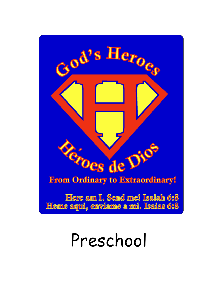

# Preschool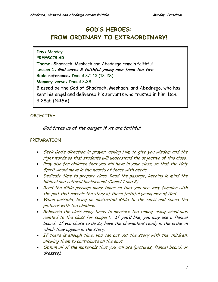# **GOD'S HEROES: FROM ORDINARY TO EXTRAORDINARY!**

**Day:** Monday **PREESCOLAR Theme:** Shadrach, Meshach and Abednego remain faithful **Lesson 1: God saves 3 faithful young men from the fire Bible reference:** Daniel 3:1-12 (13-28) **Memory verse:** Daniel 3:28 Blessed be the God of Shadrach, Meshach, and Abednego, who has sent his angel and delivered his servants who trusted in him. Dan. 3:28ab (NRSV)

# **OBJECTIVE**

God frees us of the danger if we are faithful

#### PREPARATION

- Seek God's direction in prayer, asking Him to give you wisdom and the right words so that students will understand the objective of this class.
- Pray also for children that you will have in your class, so that the Holy Spirit would move in the hearts of those with needs.
- Dedicate time to prepare class. Read the passage, keeping in mind the biblical and cultural background (Daniel 1 and 2).
- Read the Bible passage many times so that you are very familiar with the plot that reveals the story of these faithful young men of God.
- When possible, bring an illustrated Bible to the class and share the pictures with the children.
- Rehearse the class many times to measure the timing, using visual aids related to the class for support. If you'd like, you may use a flannel board. If you chose to do so, have the characters ready in the order in which they appear in the story.
- If there is enough time, you can act out the story with the children, allowing them to participate on the spot.
- Obtain all of the materials that you will use (pictures, flannel board, or dresses).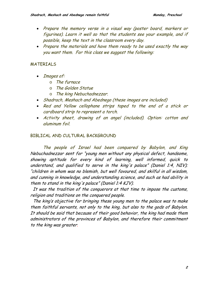- Prepare the memory verse in a visual way (poster board, markers or figurines). Learn it well so that the students see your example, and if possible, keep the text in the classroom every day.
- Prepare the materials and have them ready to be used exactly the way you want them. For this class we suggest the following:

#### MATERIALS

- Images of:
	- o The furnace
	- o The Golden Statue
	- o The king Nebuchadnezzar.
- Shadrach, Meshach and Abednego (these images are included)
- Red and Yellow cellophane strips taped to the end of a stick or cardboard strip to represent a torch.
- Activity sheet, drawing of an angel (included). Option: cotton and aluminum foil.

#### BIBLICAL AND CULTURAL BACKGROUND

 The people of Israel had been conquered by Babylon, and King Nebuchadnezzar sent for "young men without any physical defect, handsome, showing aptitude for every kind of learning, well informed, quick to understand, and qualified to serve in the king's palace" (Daniel 1:4, NIV); "children in whom was no blemish, but well favoured, and skilful in all wisdom, and cunning in knowledge, and understanding science, and such as had ability in them to stand in the king's palace" (Daniel 1:4 KJV).

It was the tradition of the conquerors at that time to impose the customs, religion and traditions on the conquered people.

 The king's objective for bringing these young men to the palace was to make them faithful servants, not only to the king, but also to the gods of Babylon. It should be said that because of their good behavior, the king had made them administrators of the provinces of Babylon, and therefore their commitment to the king was greater.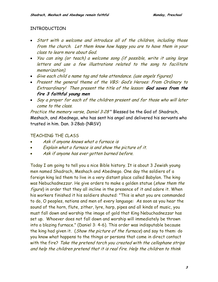#### INTRODUCTION

- Start with a welcome and introduce all of the children, including those from the church. Let them know how happy you are to have them in your class to learn more about God.
- You can sing (or teach) a welcome song (if possible, write it using large letters and use a few illustrations related to the song to facilitate memorization).
- Give each child a name tag and take attendance. (use angels figures)
- Present the general theme of the VBS: God's Heroes: From Ordinary to Extraordinary! Then present the title of the lesson: **God saves from the fire 3 faithful young men**
- Say a prayer for each of the children present and for those who will later come to the class.

Practice the memory verse, Daniel 3:28" Blessed be the God of Shadrach, Meshach, and Abednego, who has sent his angel and delivered his servants who trusted in him. Dan. 3:28ab (NRSV)

# TEACHING THE CLASS

- Ask if anyone knows what a furnace is
- Explain what a furnace is and show the picture of it.
- Ask if anyone has ever gotten burned before.

Today I am going to tell you a nice Bible history. It is about 3 Jewish young men named Shadrach, Meshach and Abednego. One day the soldiers of a foreign king led them to live in a very distant place called Babylon. The king was Nebuchadnezzar. He give orders to make a golden statue (show them the figure) in order that they all incline in the presence of it and adore it. When his workers finished it his soldiers shouted: "This is what you are commanded to do, O peoples, nations and men of every language: As soon as you hear the sound of the horn, flute, zither, lyre, harp, pipes and all kinds of music, you must fall down and worship the image of gold that King Nebuchadnezzar has set up. Whoever does not fall down and worship will immediately be thrown into a blazing furnace." (Daniel 3: 4-6). This order was indisputable because the king had given it. (Show the picture of the furnace) and say to them: do you know what happens to the things or persons that come in direct contact with the fire? Take the pretend torch you created with the cellophane strips and help the children pretend that it is real fire. Help the children to think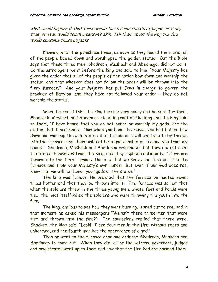what would happen if that torch would touch some sheets of paper, or a dry tree, or even would touch a person's skin. Tell them about the way the fire would consume those objects.

 Knowing what the punishment was, as soon as they heard the music, all of the people bowed down and worshipped the golden statue. But the Bible says that these three men, Shadrach, Meshach and Abednego, did not do it. So the astrologers went before the king and said to him, "Your Majesty has given the order that all of the people of the nation bow down and worship the statue, and that whoever does not follow the order will be thrown into the fiery furnace." And your Majesty has put Jews in charge to govern the province of Babylon, and they have not followed your order - they do not worship the statue.

 When he heard this, the king became very angry and he sent for them. Shadrach, Meshach and Abednego stood in front of the king and the king said to them, "I have heard that you do not honor or worship my gods, nor the statue that I had made. Now when you hear the music, you had better bow down and worship the gold statue that I made or I will send you to be thrown into the furnace, and there will not be a god capable of freeing you from my hands." Shadrach, Meshach and Abednego responded that they did not need to defend themselves from the king, and they replied confidently, "If we are thrown into the fiery furnace, the God that we serve can free us from the furnace and from your Majesty's own hands. But even if our God does not, know that we will not honor your gods or the statue."

 The king was furious. He ordered that the furnace be heated seven times hotter and that they be thrown into it. The furnace was so hot that when the soldiers threw in the three young men, whose feet and hands were tied, the heat itself killed the soldiers who were throwing the youth into the fire.

 The king, anxious to see how they were burning, leaned out to see, and in that moment he asked his messengers "Weren't there three men that were tied and thrown into the fire?" The counselors replied that there were. Shocked, the king said, "Look! I see four men in the fire, without ropes and unharmed, and the fourth man has the appearance of a god."

Then he went to the furnace door and ordered Shadrach, Meshach and Abednego to come out. When they did, all of the satraps, governors, judges and magistrates went up to them and saw that the fire had not harmed them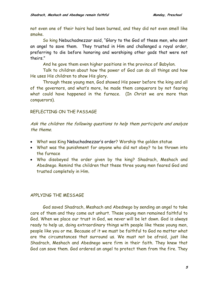not even one of their hairs had been burned, and they did not even smell like smoke.

So king Nebuchadnezzar said, "Glory to the God of these men, who sent an angel to save them. They trusted in Him and challenged a royal order, preferring to die before honoring and worshiping other gods that were not theirs."

And he gave them even higher positions in the province of Babylon.

Talk to children about how the power of God can do all things and how He uses His children to show His glory.

Through these young men, God showed His power before the king and all of the governors, and what's more, he made them conquerors by not fearing what could have happened in the furnace. (In Christ we are more than conquerors).

## REFLECTING ON THE PASSAGE

Ask the children the following questions to help them participate and analyze the theme.

- What was King Nebuchadnezzar's order? Worship the golden statue
- What was the punishment for anyone who did not obey? to be thrown into the furnace
- Who disobeyed the order given by the king? Shadrach, Meshach and Abednego. Remind the children that these three young men feared God and trusted completely in Him.

## APPLYING THE MESSAGE

 God saved Shadrach, Meshach and Abednego by sending an angel to take care of them and they come out unhurt. These young men remained faithful to God. When we place our trust in God, we never will be let down. God is always ready to help us, doing extraordinary things with people like these young men, people like you or me. Because of it we must be faithful to God no matter what are the circumstances that surround us. We must not be afraid, just like Shadrach, Meshach and Abednego were firm in their faith. They knew that God can save them. God ordered an angel to protect them from the fire. They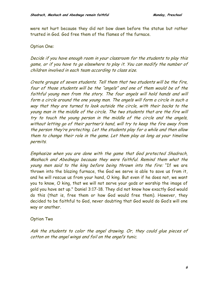were not hurt because they did not bow down before the statue but rather trusted in God. God free them of the flames of the furnace.

#### Option One:

Decide if you have enough room in your classroom for the students to play this game, or if you have to go elsewhere to play it. You can modify the number of children involved in each team according to class size.

Create groups of seven students. Tell them that two students will be the fire, four of those students will be the "angels" and one of them would be of the faithful young men from the story. The four angels will hold hands and will form a circle around the one young man. The angels will form a circle in such a way that they are turned to look outside the circle, with their backs to the young man in the middle of the circle. The two students that are the fire will try to touch the young person in the middle of the circle and the angels, without letting go of their partner's hand, will try to keep the fire away from the person they're protecting. Let the students play for a while and then allow them to change their role in the game. Let them play as long as your timeline permits.

Emphasize when you are done with the game that God protected Shadrach, Meshach and Abednego because they were faithful. Remind them what the young men said to the king before being thrown into the fire: "If we are thrown into the blazing furnace, the God we serve is able to save us from it, and he will rescue us from your hand, O king. But even if he does not, we want you to know, O king, that we will not serve your gods or worship the image of gold you have set up." Daniel 3:17-18. They did not know how exactly God would do this (that is, free them or how God would free them). However, they decided to be faithful to God, never doubting that God would do God's will one way or another.

#### Option Two

Ask the students to color the angel drawing. Or, they could glue pieces of cotton on the angel wings and foil on the angel's tunic.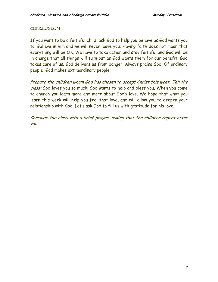#### **CONCLUSION**

If you want to be a faithful child, ask God to help you behave as God wants you to. Believe in him and he will never leave you. Having faith does not mean that everything will be OK. We have to take action and stay faithful and God will be in charge that all things will turn out as God wants them for our benefit. God takes care of us. God delivers us from danger. Always praise God. Of ordinary people, God makes extraordinary people!

Prepare the children whom God has chosen to accept Christ this week. Tell the class: God loves you so much! God wants to help and bless you. When you come to church you learn more and more about God's love. We hope that what you learn this week will help you feel that love, and will allow you to deepen your relationship with God. Let's ask God to fill us with gratitude for his love.

Conclude the class with a brief prayer, asking that the children repeat after you.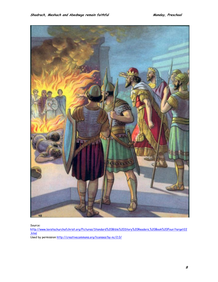

Source:

[http://www.lavistachurchofchrist.org/Pictures/Standard%20Bible%20Story%20Readers,%20Book%20Four/target22](http://www.lavistachurchofchrist.org/Pictures/Standard%20Bible%20Story%20Readers,%20Book%20Four/target22.html) [.html](http://www.lavistachurchofchrist.org/Pictures/Standard%20Bible%20Story%20Readers,%20Book%20Four/target22.html) Used by permission<http://creativecommons.org/licenses/by-nc/2.0/>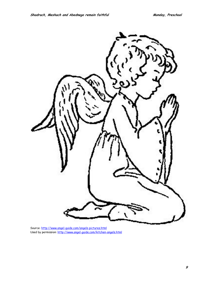

Source:<http://www.angel-guide.com/angels-pictures.html> Used by permission: <http://www.angel-guide.com/kitchen-angels.html>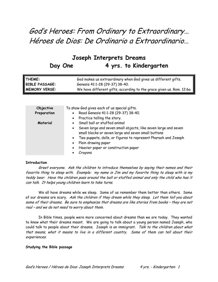# God's Heroes: From Ordinary to Extraordinary… Héroes de Dios: De Ordinario a Extraordinario…

# **Joseph Interprets Dreams**  Day One 4 yrs. to Kindergarten

|                                           | God makes us extraordinary when God gives us different gifts.        |
|-------------------------------------------|----------------------------------------------------------------------|
|                                           | Genesis 41:1-28 (29-37) 38-40.                                       |
| THEME:<br>BIBLE PASSAGE:<br>MEMORY VERSE: | We have different gifts, according to the grace given us. Rom. 12:6a |

| Objective<br>Preparation | To show God gives each of us special gifts.<br>Read Genesis 41:1-28 (29-37) 38-40.<br>$\bullet$<br>• Practice telling the story.                                                                                                                                                                                                                        |
|--------------------------|---------------------------------------------------------------------------------------------------------------------------------------------------------------------------------------------------------------------------------------------------------------------------------------------------------------------------------------------------------|
| Material                 | Small ball or stuffed animal<br>$\bullet$<br>Seven large and seven small objects, like seven large and seven<br>$\bullet$<br>small blocks or seven large and seven small buttons<br>• Two puppets, dolls, or figures to represent Pharaoh and Joseph<br>Plain drawing paper<br>$\bullet$<br>Heavier paper or construction paper<br>$\bullet$<br>Crayons |

#### **Introduction**

Greet everyone. Ask the children to introduce themselves by saying their names and their favorite thing to sleep with. Example: my name is Jim and my favorite thing to sleep with is my teddy bear. Have the children pass around the ball or stuffed animal and only the child who has it can talk. It helps young children learn to take turns.

We all have dreams while we sleep. Some of us remember them better than others. Some of our dreams are scary. Ask the children if they dream while they sleep. Let them tell you about some of their dreams. Be sure to emphasize that dreams are like stories from books – they are not real – and we do not need to worry about them.

In Bible times, people were more concerned about dreams than we are today. They wanted to know what their dreams meant. We are going to talk about a young person named Joseph, who could talk to people about their dreams. Joseph is an immigrant. Talk to the children about what that means, what it means to live in a different country. Some of them can tell about their experiences.

#### **Studying the Bible passage**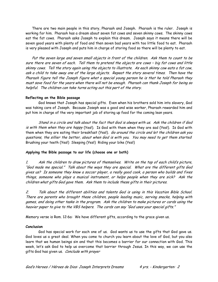There are two main people in this story, Pharaoh and Joseph. Pharaoh is the ruler. Joseph is working for him. Pharaoh has a dream about seven fat cows and seven skinny cows. The skinny cows eat the fat cows. Pharaoh asks Joseph to explain this dream. Joseph says it means there will be seven good years with plenty of food and then seven bad years with too little food to eat. Pharaoh is very pleased with Joseph and puts him in charge of storing food so there will be plenty to eat.

Put the seven large and seven small objects in front of the children. Ask them to count to be sure there are seven of each. Tell them to pretend the objects are cows – big fat cows and little skinny cows. Tell the story again using the objects to illustrate. As each skinny cow eats a fat cow, ask a child to take away one of the large objects. Repeat the story several times. Then have the Pharaoh figure tell the Joseph figure what a special young person he is that he told Pharaoh they must save food for the years when there will not be enough. Pharaoh can thank Joseph for being so helpful. The children can take turns acting out this part of the story.

#### **Reflecting on the Bible passage**

God knows that Joseph has special gifts. Even when his brothers sold him into slavery, God was taking care of Joseph. Because Joseph was a good and wise worker, Pharaoh rewarded him and put him in charge of the very important job of storing up food for the coming lean years.

Stand in a circle and talk about the fact that God is always with us. Ask the children if God is with them when they are happy (Yes!). Is God with them when they are sad (Yes!). Is God with them when they are eating their breakfast (Yes!). Go around the circle and let the children ask you questions, the sillier the better, about when God is with you. You may need to get them started: Brushing your teeth (Yes!) Sleeping (Yes!) Riding your bike (Yes!)

#### **Applying the Bible passage to our life (choose one or both)**

1. Ask the children to draw pictures of themselves. Write on the top of each child's picture, "God made me special." Talk about the ways they are special. What are the different gifts God gives us? Is someone they know a soccer player, a really good cook, a person who builds and fixes things, someone who plays a musical instrument, or helps people when they are sick? Ask the children what gifts God gave them. Ask them to include these gifts in their pictures.

2. Talk about the different abilities and talents God is using in this Vacation Bible School. There are parents who brought these children, people leading music, serving snacks, helping with games, and doing other tasks in the program. Ask the children to make pictures or cards using the heavier paper to give to the VBS helpers. The cards can say "God uses your special gifts."

Memory verse is Rom. 12:6a: We have different gifts, according to the grace given us.

#### **Conclusion**

God has special work for each one of us. God wants us to use the gifts that God gave us. God loves us a great deal. When you come to church you learn about the love of God, but you also learn that we human beings sin and that this becomes a barrier for our connection with God. This week, let's ask God to help us overcome that barrier through Jesus. In this way, we can use the gifts God has given us. Conclude with prayer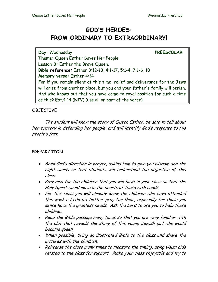# **GOD'S HEROES: FROM ORDINARY TO EXTRAORDINARY!**

**Day:** Wednesday **PREESCOLAR Theme:** Queen Esther Saves Her People. **Lesson 3:** Esther the Brave Queen. **Bible reference:** Esther 3:12-13, 4:1-17, 5:1-4, 7:1-6, 10 **Memory verse:** Esther 4:14 For if you remain silent at this time, relief and deliverance for the Jews will arise from another place, but you and your father's family will perish. And who knows but that you have come to royal position for such a time as this? Est.4:14 (NIV) (use all or part of the verse).

# OBJECTIVE

 The student will know the story of Queen Esther, be able to tell about her bravery in defending her people, and will identify God's response to His people's fast.

## PREPARATION

- Seek God's direction in prayer, asking Him to give you wisdom and the right words so that students will understand the objective of this class.
- Pray also for the children that you will have in your class so that the Holy Spirit would move in the hearts of those with needs.
- For this class you will already know the children who have attended this week a little bit better; pray for them, especially for those you sense have the greatest needs. Ask the Lord to use you to help these children.
- Read the Bible passage many times so that you are very familiar with the plot that reveals the story of this young Jewish girl who would become queen.
- When possible, bring an illustrated Bible to the class and share the pictures with the children.
- Rehearse the class many times to measure the timing, using visual aids related to the class for support. Make your class enjoyable and try to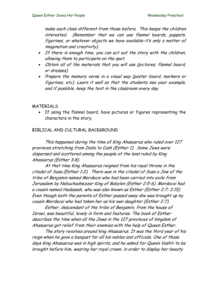make each class different from those before. This keeps the children interested. (Remember that we can use flannel boards, puppets, figurines, or whatever objects we have available-it's only a matter of imagination and creativity).

- If there is enough time, you can act out the story with the children, allowing them to participate on the spot.
- Obtain all of the materials that you will use (pictures, flannel board, or dresses).
- Prepare the memory verse in a visual way (poster board, markers or figurines, etc). Learn it well so that the students see your example, and if possible, keep the text in the classroom every day.

## MATERIALS

• If using the flannel board, have pictures or figures representing the characters in the story.

#### BIBLICAL AND CULTURAL BACKGROUND

This happened during the time of King Ahasuerus who ruled over 127 provinces stretching from India to Cush (Esther 1). Some Jews were dispersed and scattered among the people of the land ruled by King Ahasuerus (Esther 3:8).

 At that time King Ahasuerus reigned from his royal throne in the citadel of Susa (Esther 1:2). There was in the citadel of Susa a Jew of the tribe of Benjamin named Mordecai who had been carried into exile from Jerusalem by Nebuchadnezzar King of Babylon (Esther 2:5-6). Mordecai had a cousin named Hadassah, who was also known as Esther (Esther 2:7; 2:15). Even though both the parents of Esther passed away she was brought up by cousin Mordecai who had taken her as his own daughter (Esther 2:7).

Esther, descendant of the tribe of Benjamin, from the house of Israel, was beautiful, lovely in form and features. The book of Esther describes the time when all the Jews in the 127 provinces of kingdom of Ahasuerus got relief from their enemies with the help of Queen Esther.

The story revolves around king Ahasuerus. It was the third year of his reign when he gave a banquet for all his nobles and officials. One of those days King Ahasuerus was in high spirits, and he asked for Queen Vashti to be brought before him, wearing her royal crown, in order to display her beauty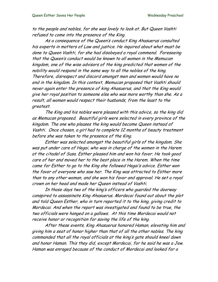to the people and nobles, for she was lovely to look at. But Queen Vashti refused to come into the presence of the King.

As a consequence of the Queen's conduct King Ahasuerus consulted his experts in matters of Law and justice. He inquired about what must be done to Queen Vashti, for she had disobeyed a royal commend. Foreseeing that the Queen's conduct would be known to all women in the Memucan kingdom, one of the wise advisors of the king predicted that women of the nobility would respond in the same way to all the nobles of the king. Therefore, disrespect and discord amongst men and women would have no end in the kingdom. In this context, Memucan proposed that Vashti should never again enter the presence of king Ahasuerus, and that the King would give her royal position to someone else who was more worthy than she. As a result, all women would respect their husbands, from the least to the greatest.

The King and his nobles were pleased with this advice, so the king did as Memucan proposed. Beautiful girls were selected in every province of the kingdom. The one who pleases the king would become Queen instead of Vashti. Once chosen, a girl had to complete 12 months of beauty treatment before she was taken to the presence of the King.

Esther was selected amongst the beautiful girls of the kingdom. She was put under care of Hegai, who was in charge of the women in the Harem at the citadel of Susa. Esther pleased him and won his favor. He took good care of her and moved her to the best place in the Harem. When the time came for Esther to go to the King she followed Hegai's advice. Esther won the favor of everyone who saw her. The King was attracted to Esther more than to any other woman, and she won his favor and approval. He set a royal crown on her head and made her Queen instead of Vashti.

In those days two of the king's officers who guarded the doorway conspired to assassinate King Ahasuerus. Mordecai found out about the plot and told Queen Esther, who in turn reported it to the king, giving credit to Mordecai. And when the report was investigated and found to be true, the two officials were hanged on a gallows. At this time Mordecai would not receive honor or recognition for saving the life of the king.

After these events, King Ahasuerus honored Haman, elevating him and giving him a seat of honor higher than that of all the other nobles. The king commanded that all the royal officials at the king's gate should kneel down and honor Haman. This they did, except Mordecai, for he said he was a Jew. Haman was enraged because of the conduct of Mordecai and looked for a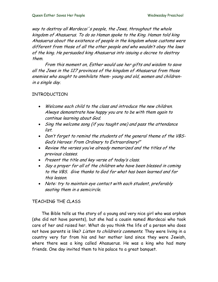way to destroy all Mordecai´s people, the Jews, throughout the whole kingdom of Ahasuerus. To do so Haman spoke to the King. Haman told king Ahasuerus about the existence of people in the kingdom whose customs were different from those of all the other people and who wouldn't obey the laws of the king. He persuaded king Ahasuerus into issuing a decree to destroy them.

From this moment on, Esther would use her gifts and wisdom to save all the Jews in the 127 provinces of the kingdom of Ahasuerus from those enemies who sought to annihilate them- young and old, women and childrenin a single day.

## INTRODUCTION

- Welcome each child to the class and introduce the new children. Always demonstrate how happy you are to be with them again to continue learning about God.
- Sing the welcome song (if you taught one) and pass the attendance list.
- Don't forget to remind the students of the general theme of the VBS-God's Heroes: From Ordinary to Extraordinary!"
- Review the verses you've already memorized and the titles of the previous classes.
- Present the title and key verse of today's class.
- Say a prayer for all of the children who have been blessed in coming to the VBS. Give thanks to God for what has been learned and for this lesson.
- Note: try to maintain eye contact with each student, preferably seating them in a semicircle.

# TEACHING THE CLASS

The Bible tells us the story of a young and very nice girl who was orphan (she did not have parents), but she had a cousin named Mordecai who took care of her and raised her. What do you think the life of a person who does not have parents is like? Listen to children's comments. They were living in a country very far from his and her mother land since they were Jewish, where there was a king called Ahasuerus. He was a king who had many friends. One day invited them to his palace to a great banquet.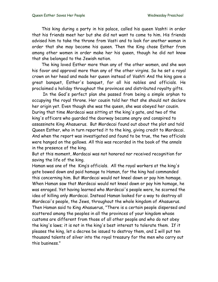This king during a party in his palace, called his queen Vashti in order that his friends meet her but she did not want to come to him. His friends advised him to take the throne from Vasti and to look for another woman in order that she may become his queen. Then the King chose Esther from among other women in order make her his queen, though he did not know that she belonged to the Jewish nation.

The king loved Esther more than any of the other women, and she won his favor and approval more than any of the other virgins. So he set a royal crown on her head and made her queen instead of Vashti And the king gave a great banquet, Esther's banquet, for all his nobles and officials. He proclaimed a holiday throughout the provinces and distributed royalty gifts.

 In the God's perfect plan she passed from being a simple orphan to occupying the royal throne. Her cousin told her that she should not declare her origin yet. Even though she was the queen, she was obeyed her cousin. During that time Mordecai was sitting at the king's gate, and two of the king's officers who guarded the doorway became angry and conspired to assassinate King Ahasuerus. But Mordecai found out about the plot and told Queen Esther, who in turn reported it to the king, giving credit to Mordecai. And when the report was investigated and found to be true, the two officials were hanged on the gallows. All this was recorded in the book of the annals in the presence of the king.

But at this moment, Mordacai was not honored nor received recognition for saving the life of the king.

Haman was one of the King's officials. All the royal workers at the king's gate bowed down and paid homage to Haman, for the king had commanded this concerning him. But Mordecai would not kneel down or pay him homage. When Haman saw that Mordecai would not kneel down or pay him homage, he was enraged. Yet having learned who Mordecai's people were, he scorned the idea of killing only Mordecai. Instead Haman looked for a way to destroy all Mordecai's people, the Jews, throughout the whole kingdom of Ahasuerus. Then Haman said to King Ahasuerus, "There is a certain people dispersed and scattered among the peoples in all the provinces of your kingdom whose customs are different from those of all other people and who do not obey the king's laws; it is not in the king's best interest to tolerate them. If it pleases the king, let a decree be issued to destroy them, and I will put ten thousand talents of silver into the royal treasury for the men who carry out this business."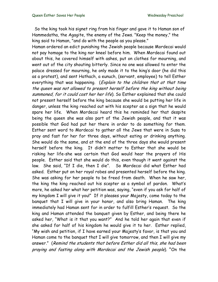So the king took his signet ring from his finger and gave it to Haman son of Hammedatha, the Agagite, the enemy of the Jews. "Keep the money," the king said to Haman, "and do with the people as you please."

Haman ordered an edict punishing the Jewish people because Mordecai would not pay homage to the king nor kneel before him. When Mordecai found out about this, he covered himself with ashes, put on clothes for mourning, and went out of the city shouting bitterly. Since no one was allowed to enter the palace dressed for mourning, he only made it to the king's door (he did this as a protest), and sent Hathach, a eunuch, (servant, employee) to tell Esther everything that was happening. (Explain to the children that at that time the queen was not allowed to present herself before the king without being summoned, for it could cost her her life). So Esther explained that she could not present herself before the king because she would be putting her life in danger, unless the king reached out with his scepter as a sign that he would spare her life. When Mordecai heard this he reminded her that despite being the queen she was also part of the Jewish people, and that it was possible that God had put her there in order to do something for them. Esther sent word to Mordecai to gather all the Jews that were in Susa to pray and fast for her for three days, without eating or drinking anything. She would do the same, and at the end of the three days she would present herself before the king. It didn't matter to Esther that she would be risking her life-she was certain that God would hear the prayers of His people. Esther said that she would do this, even though it went against the law. She said, "If I die, then I die". So Mordecai did what Esther had asked. Esther put on her royal robes and presented herself before the king. She was asking for her people to be freed from death. When he saw her, the king the king reached out his scepter as a symbol of pardon. What's more, he asked her what her petition was, saying, "even if you ask for half of my kingdom I will give it you!" If it pleases your Majesty, come today to the banquet that I will give in your honor, and also bring Haman. The king immediately had Haman sent for in order to fulfill Esther's request. So the king and Haman attended the banquet given by Esther, and being there he asked her, "What is it that you want?" And he told her again that even if she asked for half of his kingdom he would give it to her. Esther replied, "My wish and petition, if I have earned your Majesty's favor, is that you and Haman come to the banquet that I will give tomorrow, and then I will give my answer." (Remind the students that before Esther did all this, she had been praying and fasting along with Mordecai and the Jewish people). "On the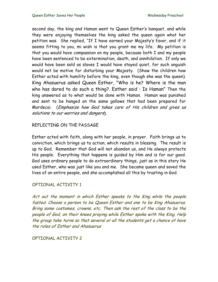second day, the king and Haman went to Queen Esther's banquet, and while they were enjoying themselves the king asked the queen again what her petition was. She replied, "If I have earned your Majesty's favor, and if it seems fitting to you, mi wish is that you grant me my life. My petition is that you would have compassion on my people, because both I and my people have been sentenced to be extermination, death, and annihilation. If only we would have been sold as slaves I would have stayed quiet, for such anguish would not be motive for disturbing your Majesty. (Show the children how Esther acted with humility before the king, even though she was the queen). King Ahasuerus asked Queen Esther, "Who is he? Where is the man who has dared to do such a thing?. Esther said : Is Haman" Then the king answered as to what would be done with Haman. Haman was punished and sent to be hanged on the same gallows that had been prepared for Mordecai. (Emphasize how God takes care of His children and gives us solutions to our worries and dangers).

# REFLECTING ON THE PASSAGE

Esther acted with faith, along with her people, in prayer. Faith brings us to conviction, which brings us to action, which results in blessing. The result is up to God. Remember that God will not abandon us, and He always protects His people. Everything that happens is guided by Him and is for our good. God uses ordinary people to do extraordinary things, just as in this story He used Esther, who was just like you and me. She became queen and saved the lives of an entire people, and she accomplished all this by trusting in God.

## OPTIONAL ACTIVITY 1

Act out the moment in which Esther speaks to the King while the people fasted. Choose a person to be Queen Esther and one to be King Ahasuerus. Bring some costumes, crowns, etc. Then ask the rest of the class to be the people of God, on their knees praying while Esther spoke with the King. Help the group take turns so that several or all the students get a chance ot have the roles of Esther and Ahasuerus

## OPTIONAL ACTIVITY 2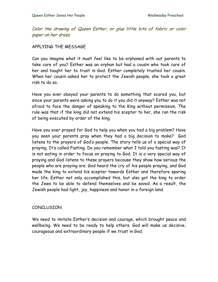Color the drawing of Queen Esther, or glue little bits of fabric or color paper on her dress.

#### APPLYING THE MESSAGE

Can you imagine what it must feel like to be orphaned with out parents to take care of you? Esther was an orphan but had a cousin who took care of her and taught her to trust in God. Esther completely trusted her cousin. When her cousin asked her to protect the Jewish people, she took a great risk to do so.

Have you ever obeyed your parents to do something that scared you, but since your parents were asking you to do it you did it anyway? Esther was not afraid to face the danger of speaking to the King without permission. The rule was that if the king did not extend his scepter to her, she ran the risk of being executed by order of the king.

Have you ever prayed for God to help you when you had a big problem? Have you seen your parents pray when they had a big decision to make? God listens to the prayers of God's people. The story tells us of a special way of praying. It's called Fasting. Do you remember what I told you fasting was? It is not eating in order to focus on praying to God. It is a very special way of praying and God listens to these prayers because they show how serious the people who are praying are. God heard the cry of his people praying, and God made the king to extend his scepter towards Esther and therefore sparing her life. Esther not only accomplished this, but also got the king to order the Jews to be able to defend themselves and be saved. As a result, the Jewish people had light, joy, happiness and honor in a foreign land.

#### **CONCLUSION**

We need to imitate Esther's decision and courage, which brought peace and wellbeing. We need to be ready to help others. God will make us decisive, courageous and extraordinary people if we trust in God.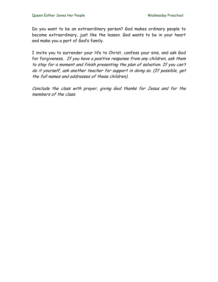Do you want to be an extraordinary person? God makes ordinary people to become extraordinary, just like the lesson. God wants to be in your heart and make you a part of God's family.

I invite you to surrender your life to Christ, confess your sins, and ask God for forgiveness. If you have a positive response from any children, ask them to stay for a moment and finish presenting the plan of salvation. If you can't do it yourself, ask another teacher for support in doing so. (If possible, get the full names and addresses of these children).

Conclude the class with prayer, giving God thanks for Jesus and for the members of the class.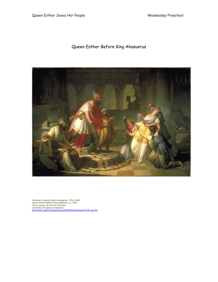# Queen Esther Before King Ahasuerus



Francesco Caucig (Austro-Hungarian, 1755–1828)<br>*Queen Esther Before King Ahasuerus*, ca. 1815<br>Oil on canvas, 55 3/4x 81 1/2inches<br>University of Virginia Art Museum<br>http://www.virginia.edu/artmuseum/WE2002/art/pages/PIC05\_j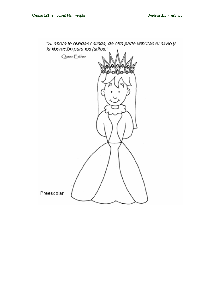

"Si ahora te quedas callada, de otra parte vendrán el alivio y la<br>la liberación para los judíos."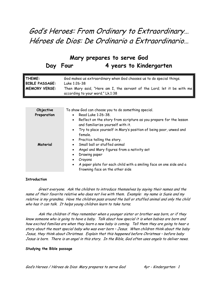# God's Heroes: From Ordinary to Extraordinary… Héroes de Dios: De Ordinario a Extraordinario…

# **Mary prepares to serve God Day Four 4 years to Kindergarten**

| THEME:<br>BIBLE PASSAGE: | God makes us extraordinary when God chooses us to do special things.   |
|--------------------------|------------------------------------------------------------------------|
|                          | Luke 1:26-38                                                           |
| MEMORY VERSE:            | Then Mary said, "Here am I, the servant of the Lord; let it be with me |
|                          | according to your word." Lk.1:38                                       |

| Objective   | To show God can choose you to do something special.                                                                 |
|-------------|---------------------------------------------------------------------------------------------------------------------|
| Preparation | Read Luke 1:26-38.<br>$\bullet$                                                                                     |
|             | Reflect on the story from scripture as you prepare for the lesson<br>$\bullet$<br>and familiarize yourself with it. |
|             | • Try to place yourself in Mary's position of being poor, unwed and<br>female.                                      |
|             | Practice telling the story.<br>$\bullet$                                                                            |
| Material    | Small ball or stuffed animal<br>$\bullet$                                                                           |
|             | Angel and Mary figures from a nativity set<br>$\bullet$                                                             |
|             | Drawing paper<br>$\bullet$                                                                                          |
|             | Crayons                                                                                                             |
|             | A paper plate for each child with a smiling face on one side and a<br>frowning face on the other side               |

#### **Introduction**

Greet everyone. Ask the children to introduce themselves by saying their names and the name of their favorite relative who does not live with them. Example: my name is Susie and my relative is my grandma. Have the children pass around the ball or stuffed animal and only the child who has it can talk. It helps young children learn to take turns.

Ask the children if they remember when a younger sister or brother was born, or if they know someone who is going to have a baby. Talk about how special it is when babies are born and how excited families are when they learn a new baby is coming. Tell them they are going to hear a story about the most special baby who was ever born – Jesus. When children think about the baby Jesus, they think about Christmas. Explain that this happened before Christmas – before baby Jesus is born. There is an angel in this story. In the Bible, God often uses angels to deliver news.

#### **Studying the Bible passage**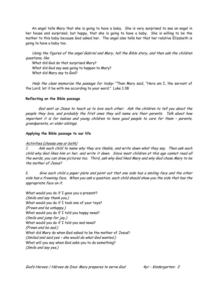An angel tells Mary that she is going to have a baby. She is very surprised to see an angel in her house and surprised, but happy, that she is going to have a baby. She is willing to be the mother to this baby because God asked her. The angel also tells her that her relative Elizabeth is going to have a baby too.

Using the figures of the angel Gabriel and Mary, tell the Bible story, and then ask the children questions, like

What did God do that surprised Mary? What did God say was going to happen to Mary? What did Mary say to God?

Help the class memorize the passage for today: "Then Mary said, "Here am I, the servant of the Lord; let it be with me according to your word." Luke 1:38

#### **Reflecting on the Bible passage**

God sent us Jesus to teach us to love each other. Ask the children to tell you about the people they love, and probably the first ones they will name are their parents. Talk about how important it is for babies and young children to have good people to care for them – parents, grandparents, or older siblings.

#### **Applying the Bible passage to our life**

#### Activities (choose one or both)

1. Ask each child to name why they are likable, and write down what they say. Then ask each child why God likes him or her, and write it down. Since most children at this age cannot read all the words, you can draw pictures too. Third, ask why God liked Mary and why God chose Mary to be the mother of Jesus?

2. Give each child a paper plate and point out that one side has a smiling face and the other side has a frowning face. When you ask a question, each child should show you the side that has the appropriate face on it.

What would you do if I gave you a present? (Smile and say thank you.) What would you do if I took one of your toys? (Frown and be unhappy.) What would you do if I told you happy news? (Smile and jump for joy.) What would you do if I told you sad news? (Frown and be sad.) What did Mary do when God asked to be the mother of Jesus? (Smiled and said yes – she would do what God wanted.) What will you say when God asks you to do something? (Smile and say yes.)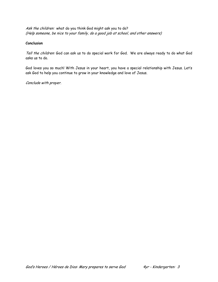Ask the children: what do you think God might ask you to do? (Help someone, be nice to your family, do a good job at school, and other answers)

#### **Conclusion**

Tell the children: God can ask us to do special work for God. We are always ready to do what God asks us to do.

God loves you so much! With Jesus in your heart, you have a special relationship with Jesus. Let's ask God to help you continue to grow in your knowledge and love of Jesus.

Conclude with prayer.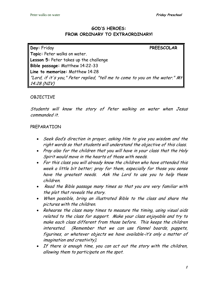# **GOD'S HEROES: FROM ORDINARY TO EXTRAORDINARY!**

**Day:** Friday **PREESCOLAR Topic:** Peter walks on water. **Lesson 5:** Peter takes up the challenge **Bible passage:** Matthew 14:22-33 **Line to memorize:** Matthew 14:28 "Lord, if it's you," Peter replied, "tell me to come to you on the water." Mt 14:28 (NIV)

## OBJECTIVE

Students will know the story of Peter walking on water when Jesus commanded it.

#### PREPARATION

- Seek God's direction in prayer, asking Him to give you wisdom and the right words so that students will understand the objective of this class.
- Pray also for the children that you will have in your class that the Holy Spirit would move in the hearts of those with needs.
- For this class you will already know the children who have attended this week a little bit better; pray for them, especially for those you sense have the greatest needs. Ask the Lord to use you to help these children.
- Read the Bible passage many times so that you are very familiar with the plot that reveals the story.
- When possible, bring an illustrated Bible to the class and share the pictures with the children.
- Rehearse the class many times to measure the timing, using visual aids related to the class for support. Make your class enjoyable and try to make each class different from those before. This keeps the children interested. (Remember that we can use flannel boards, puppets, figurines, or whatever objects we have available-it's only a matter of imagination and creativity).
- If there is enough time, you can act out the story with the children, allowing them to participate on the spot.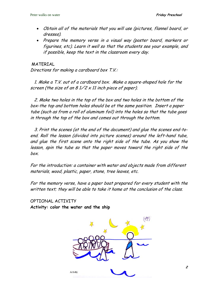- Obtain all of the materials that you will use (pictures, flannel board, or dresses).
- Prepare the memory verse in a visual way (poster board, markers or figurines, etc). Learn it well so that the students see your example, and if possible, keep the text in the classroom every day.

#### MATERIAL

Directions for making a cardboard box T.V.:

 1. Make a T.V. out of a cardboard box. Make a square-shaped hole for the screen (the size of an 8  $1/2 \times 11$  inch piece of paper).

 2. Make two holes in the top of the box and two holes in the bottom of the box-the top and bottom holes should be at the same position. Insert a paper tube (such as from a roll of aluminum foil) into the holes so that the tube goes in through the top of the box and comes out through the bottom.

 3. Print the scenes (at the end of the document) and glue the scenes end-toend. Roll the lesson (divided into picture scenes) around the left-hand tube, and glue the first scene onto the right side of the tube. As you show the lesson, spin the tube so that the paper moves toward the right side of the box.

For the introduction: a container with water and objects made from different materials, wood, plastic, paper, stone, tree leaves, etc.

For the memory verse, have a paper boat prepared for every student with the written text; they will be able to take it home at the conclusion of the class.

OPTIONAL ACTIVITY **Activity: color the water and the ship** 





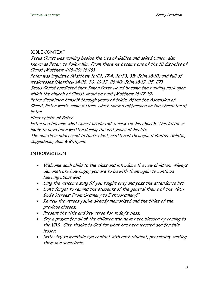## BIBLE CONTEXT

Jesus Christ was walking beside the Sea of Galilee and asked Simon, also known as Peter, to follow him. From there he became one of the 12 disciples of Christ (Matthew 4:18-20; 16:16). Peter was impulsive (Matthew 16:22, 17:4, 26:33, 35; John 18:10) and full of weaknesses (Matthew 14:28, 30; 19:27, 26:40; John 18:17, 25, 27) Jesus Christ predicted that Simon Peter would become the building rock upon which the church of Christ would be built (Matthew 16:17-19) Peter disciplined himself through years of trials. After the Ascension of Christ, Peter wrote some letters, which show a difference on the character of Peter.

First epistle of Peter

Peter had become what Christ predicted: a rock for his church. This letter is likely to have been written during the last years of his life The epistle is addressed to God's elect, scattered throughout Pontus, Galatia, Cappadocia, Asia & Bithynia.

## INTRODUCTION

- Welcome each child to the class and introduce the new children. Always demonstrate how happy you are to be with them again to continue learning about God.
- Sing the welcome song (if you taught one) and pass the attendance list.
- Don't forget to remind the students of the general theme of the VBS-God's Heroes: From Ordinary to Extraordinary!"
- Review the verses you've already memorized and the titles of the previous classes.
- Present the title and key verse for today's class.
- Say a prayer for all of the children who have been blessed by coming to the VBS. Give thanks to God for what has been learned and for this lesson.
- Note: try to maintain eye contact with each student, preferably seating them in a semicircle.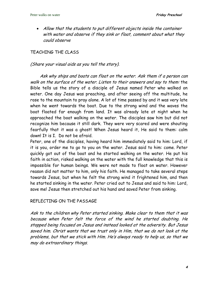• Allow that the students to put different objects inside the container with water and observe if they sink or float, comment about what they could observe

#### TEACHING THE CLASS

#### (Share your visual aids as you tell the story).

Ask why ships and boats can float on the water. Ask them if a person can walk on the surface of the water. Listen to their answers and say to them: the Bible tells us the story of a disciple of Jesus named Peter who walked on water. One day Jesus was preaching, and after seeing off the multitude, he rose to the mountain to pray alone. A lot of time passed by and it was very late when he went towards the boat. Due to the strong wind and the waves the boat floated far enough from land. It was already late at night when he approached the boat walking on the water. The disciples saw him but did not recognize him because it still dark. They were very scared and were shouting fearfully that it was a ghost! When Jesus heard it, He said to them: calm down! It is I. Do not be afraid.

Peter, one of the disciples, having heard him immediately said to him: Lord, if it is you, order me to go to you on the water. Jesus said to him: come. Peter quickly got out of the boat and he started walking on the water. He put his faith in action, risked walking on the water with the full knowledge that this is impossible for human beings. We were not made to float on water. However reason did not matter to him, only his faith. He managed to take several steps towards Jesus, but when he felt the strong wind it frightened him, and then he started sinking in the water. Peter cried out to Jesus and said to him: Lord, save me! Jesus then stretched out his hand and saved Peter from sinking.

#### REFLECTING ON THE PASSAGE

Ask to the children why Peter started sinking. Make clear to them that it was because when Peter felt the force of the wind he started doubting. He stopped being focused on Jesus and instead looked at the adversity. But Jesus saved him. Christ wants that we trust only in Him, that we do not look at the problems, but that we stick with Him. He's always ready to help us, so that we may do extraordinary things.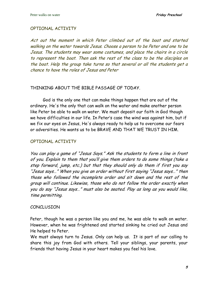#### OPTIONAL ACTIVITY

Act out the moment in which Peter climbed out of the boat and started walking on the water towards Jesus. Choose a person to be Peter and one to be Jesus. The students may wear some costumes, and place the chairs in a circle to represent the boat. Then ask the rest of the class to be the disciples on the boat. Help the group take turns so that several or all the students get a chance to have the roles of Jesus and Peter

#### THINKING ABOUT THE BIBLE PASSAGE OF TODAY.

 God is the only one that can make things happen that are out of the ordinary. He's the only that can walk on the water and make another person like Peter be able to walk on water. We must deposit our faith in God though we have difficulties in our life. In Peter's case the wind was against him, but if we fix our eyes on Jesus, He's always ready to help us to overcome our fears or adversities. He wants us to be BRAVE AND THAT WE TRUST IN HIM.

#### OPTIONAL ACTIVITY

You can play a game of "Jesus Says." Ask the students to form a line in front of you. Explain to them that you'll give them orders to do some things (take a step forward, jump, etc.) but that they should only do them if first you say "Jesus says…" When you give an order without first saying "Jesus says…" then those who followed the incomplete order and sit down and the rest of the group will continue. Likewise, those who do not follow the order exactly when you do say "Jesus says…" must also be seated. Play as long as you would like, time permitting.

#### **CONCLUSION**

Peter, though he was a person like you and me, he was able to walk on water. However, when he was frightened and started sinking he cried out Jesus and He helped to Peter.

We must always turn to Jesus. Only can help us. It is part of our calling to share this joy from God with others. Tell your siblings, your parents, your friends that having Jesus in your heart makes you feel his love.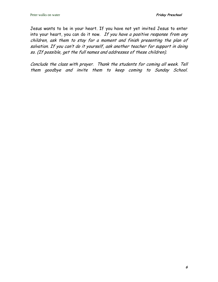Jesus wants to be in your heart. If you have not yet invited Jesus to enter into your heart, you can do it now. If you have a positive response from any children, ask them to stay for a moment and finish presenting the plan of salvation. If you can't do it yourself, ask another teacher for support in doing so. (If possible, get the full names and addresses of these children).

Conclude the class with prayer. Thank the students for coming all week. Tell them goodbye and invite them to keep coming to Sunday School.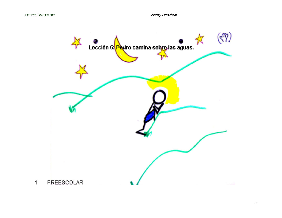**Friday Preschool** 

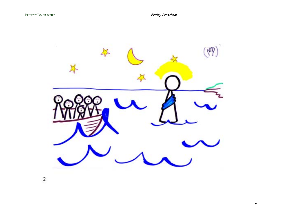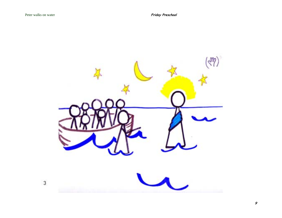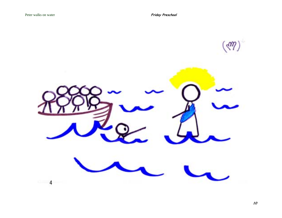**Friday Preschool** 

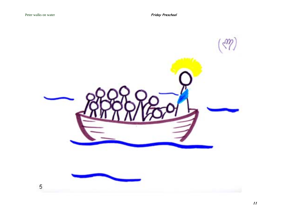